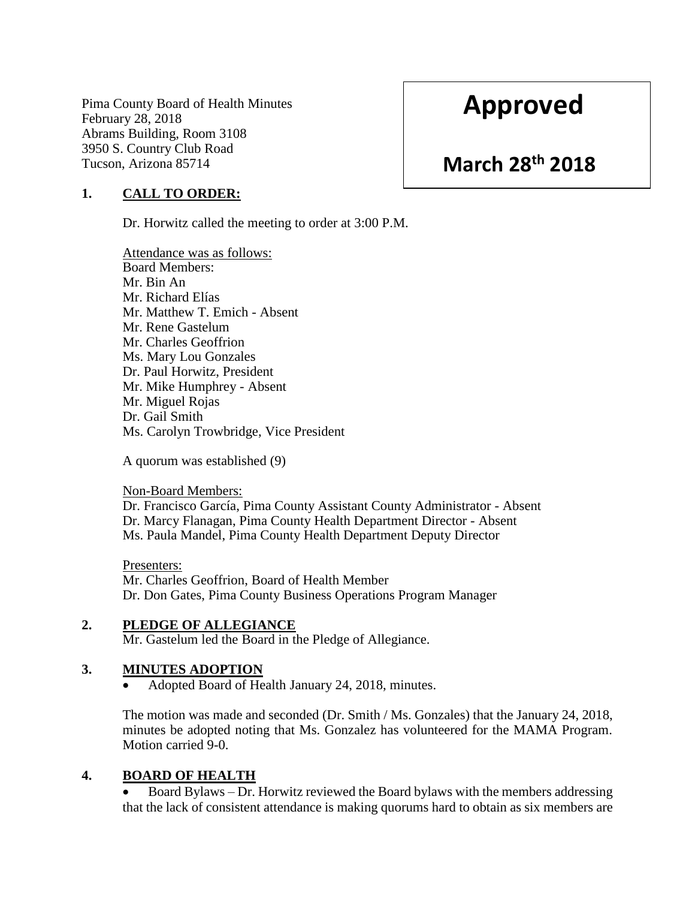Pima County Board of Health Minutes February 28, 2018 Abrams Building, Room 3108 3950 S. Country Club Road Tucson, Arizona 85714

# **Approved**

## **March 28th 2018**

### **1. CALL TO ORDER:**

Dr. Horwitz called the meeting to order at 3:00 P.M.

Attendance was as follows: Board Members: Mr. Bin An Mr. Richard Elías Mr. Matthew T. Emich - Absent Mr. Rene Gastelum Mr. Charles Geoffrion Ms. Mary Lou Gonzales Dr. Paul Horwitz, President Mr. Mike Humphrey - Absent Mr. Miguel Rojas Dr. Gail Smith Ms. Carolyn Trowbridge, Vice President

A quorum was established (9)

Non-Board Members: Dr. Francisco García, Pima County Assistant County Administrator - Absent Dr. Marcy Flanagan, Pima County Health Department Director - Absent Ms. Paula Mandel, Pima County Health Department Deputy Director

Presenters: Mr. Charles Geoffrion, Board of Health Member Dr. Don Gates, Pima County Business Operations Program Manager

#### **2. PLEDGE OF ALLEGIANCE**

Mr. Gastelum led the Board in the Pledge of Allegiance.

#### **3. MINUTES ADOPTION**

Adopted Board of Health January 24, 2018, minutes.

The motion was made and seconded (Dr. Smith / Ms. Gonzales) that the January 24, 2018, minutes be adopted noting that Ms. Gonzalez has volunteered for the MAMA Program. Motion carried 9-0.

#### **4. BOARD OF HEALTH**

 Board Bylaws – Dr. Horwitz reviewed the Board bylaws with the members addressing that the lack of consistent attendance is making quorums hard to obtain as six members are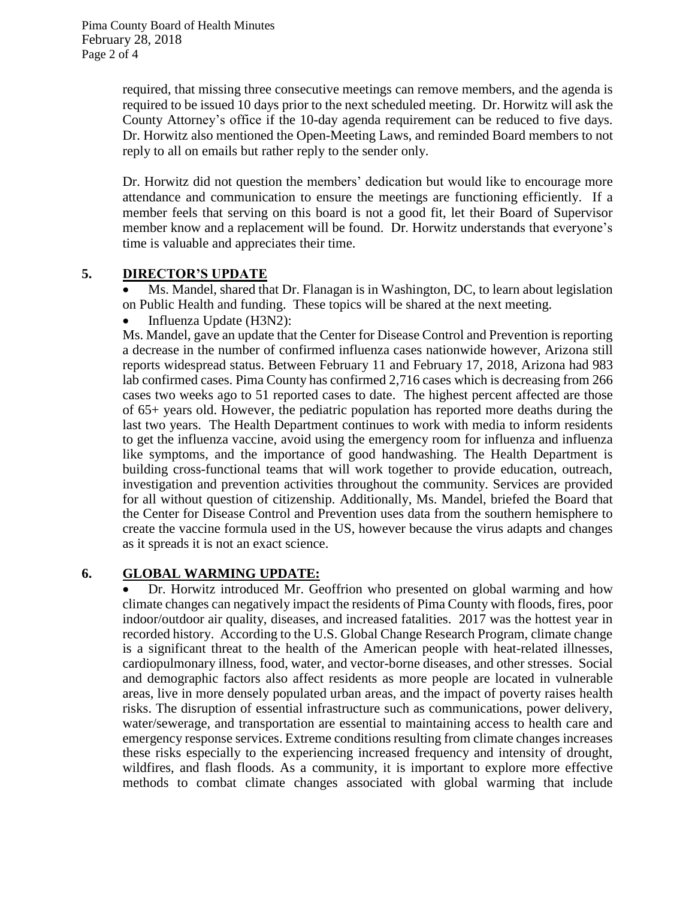required, that missing three consecutive meetings can remove members, and the agenda is required to be issued 10 days prior to the next scheduled meeting. Dr. Horwitz will ask the County Attorney's office if the 10-day agenda requirement can be reduced to five days. Dr. Horwitz also mentioned the Open-Meeting Laws, and reminded Board members to not reply to all on emails but rather reply to the sender only.

Dr. Horwitz did not question the members' dedication but would like to encourage more attendance and communication to ensure the meetings are functioning efficiently. If a member feels that serving on this board is not a good fit, let their Board of Supervisor member know and a replacement will be found. Dr. Horwitz understands that everyone's time is valuable and appreciates their time.

### **5. DIRECTOR'S UPDATE**

 Ms. Mandel, shared that Dr. Flanagan is in Washington, DC, to learn about legislation on Public Health and funding. These topics will be shared at the next meeting.

• Influenza Update (H3N2):

Ms. Mandel, gave an update that the Center for Disease Control and Prevention is reporting a decrease in the number of confirmed influenza cases nationwide however, Arizona still reports widespread status. Between February 11 and February 17, 2018, Arizona had 983 lab confirmed cases. Pima County has confirmed 2,716 cases which is decreasing from 266 cases two weeks ago to 51 reported cases to date. The highest percent affected are those of 65+ years old. However, the pediatric population has reported more deaths during the last two years. The Health Department continues to work with media to inform residents to get the influenza vaccine, avoid using the emergency room for influenza and influenza like symptoms, and the importance of good handwashing. The Health Department is building cross-functional teams that will work together to provide education, outreach, investigation and prevention activities throughout the community. Services are provided for all without question of citizenship. Additionally, Ms. Mandel, briefed the Board that the Center for Disease Control and Prevention uses data from the southern hemisphere to create the vaccine formula used in the US, however because the virus adapts and changes as it spreads it is not an exact science.

### **6. GLOBAL WARMING UPDATE:**

 Dr. Horwitz introduced Mr. Geoffrion who presented on global warming and how climate changes can negatively impact the residents of Pima County with floods, fires, poor indoor/outdoor air quality, diseases, and increased fatalities. 2017 was the hottest year in recorded history. According to the U.S. Global Change Research Program, climate change is a significant threat to the health of the American people with heat-related illnesses, cardiopulmonary illness, food, water, and vector-borne diseases, and other stresses. Social and demographic factors also affect residents as more people are located in vulnerable areas, live in more densely populated urban areas, and the impact of poverty raises health risks. The disruption of essential infrastructure such as communications, power delivery, water/sewerage, and transportation are essential to maintaining access to health care and emergency response services. Extreme conditions resulting from climate changes increases these risks especially to the experiencing increased frequency and intensity of drought, wildfires, and flash floods. As a community, it is important to explore more effective methods to combat climate changes associated with global warming that include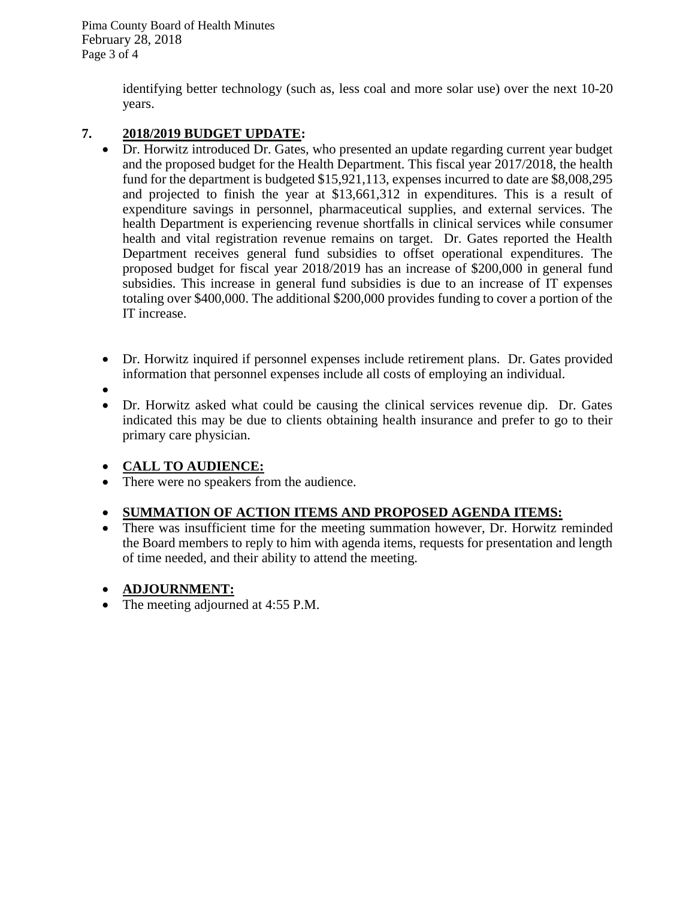Pima County Board of Health Minutes February 28, 2018 Page 3 of 4

> identifying better technology (such as, less coal and more solar use) over the next 10-20 years.

### **7. 2018/2019 BUDGET UPDATE:**

- Dr. Horwitz introduced Dr. Gates, who presented an update regarding current year budget and the proposed budget for the Health Department. This fiscal year 2017/2018, the health fund for the department is budgeted \$15,921,113, expenses incurred to date are \$8,008,295 and projected to finish the year at \$13,661,312 in expenditures. This is a result of expenditure savings in personnel, pharmaceutical supplies, and external services. The health Department is experiencing revenue shortfalls in clinical services while consumer health and vital registration revenue remains on target. Dr. Gates reported the Health Department receives general fund subsidies to offset operational expenditures. The proposed budget for fiscal year 2018/2019 has an increase of \$200,000 in general fund subsidies. This increase in general fund subsidies is due to an increase of IT expenses totaling over \$400,000. The additional \$200,000 provides funding to cover a portion of the IT increase.
- Dr. Horwitz inquired if personnel expenses include retirement plans. Dr. Gates provided information that personnel expenses include all costs of employing an individual.
- $\bullet$
- Dr. Horwitz asked what could be causing the clinical services revenue dip. Dr. Gates indicated this may be due to clients obtaining health insurance and prefer to go to their primary care physician.

### **CALL TO AUDIENCE:**

• There were no speakers from the audience.

## **SUMMATION OF ACTION ITEMS AND PROPOSED AGENDA ITEMS:**

• There was insufficient time for the meeting summation however, Dr. Horwitz reminded the Board members to reply to him with agenda items, requests for presentation and length of time needed, and their ability to attend the meeting.

## **ADJOURNMENT:**

• The meeting adjourned at 4:55 P.M.